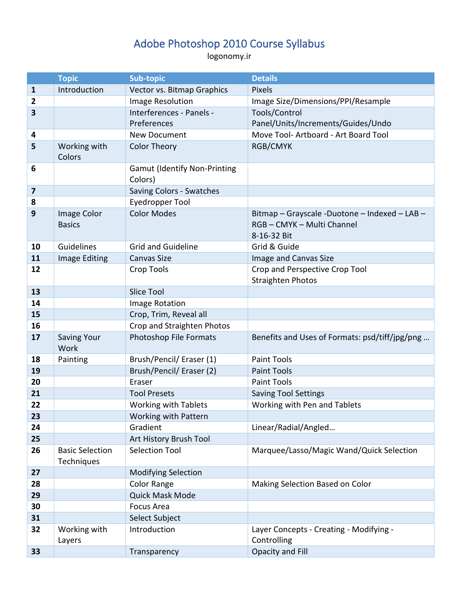## Adobe Photoshop 2010 Course Syllabus

logonomy.ir

|                         | <b>Topic</b>           | <b>Sub-topic</b>                    | <b>Details</b>                                 |
|-------------------------|------------------------|-------------------------------------|------------------------------------------------|
| $\mathbf{1}$            | Introduction           | Vector vs. Bitmap Graphics          | Pixels                                         |
| $\overline{2}$          |                        | Image Resolution                    | Image Size/Dimensions/PPI/Resample             |
| $\overline{\mathbf{3}}$ |                        | Interferences - Panels -            | Tools/Control                                  |
|                         |                        | Preferences                         | Panel/Units/Increments/Guides/Undo             |
| 4                       |                        | <b>New Document</b>                 | Move Tool-Artboard - Art Board Tool            |
| 5                       | Working with           | <b>Color Theory</b>                 | <b>RGB/CMYK</b>                                |
|                         | Colors                 |                                     |                                                |
| 6                       |                        | <b>Gamut (Identify Non-Printing</b> |                                                |
|                         |                        | Colors)                             |                                                |
| $\overline{\mathbf{z}}$ |                        | Saving Colors - Swatches            |                                                |
| 8                       |                        | <b>Eyedropper Tool</b>              |                                                |
| 9                       | Image Color            | <b>Color Modes</b>                  | Bitmap - Grayscale - Duotone - Indexed - LAB - |
|                         | <b>Basics</b>          |                                     | RGB-CMYK-Multi Channel                         |
|                         |                        |                                     | 8-16-32 Bit                                    |
| 10                      | Guidelines             | <b>Grid and Guideline</b>           | Grid & Guide                                   |
| 11                      | Image Editing          | <b>Canvas Size</b>                  | Image and Canvas Size                          |
| 12                      |                        | <b>Crop Tools</b>                   | Crop and Perspective Crop Tool                 |
|                         |                        |                                     | <b>Straighten Photos</b>                       |
| 13                      |                        | <b>Slice Tool</b>                   |                                                |
| 14                      |                        | Image Rotation                      |                                                |
| 15                      |                        | Crop, Trim, Reveal all              |                                                |
| 16                      |                        | Crop and Straighten Photos          |                                                |
| 17                      | <b>Saving Your</b>     | <b>Photoshop File Formats</b>       | Benefits and Uses of Formats: psd/tiff/jpg/png |
|                         | Work                   |                                     |                                                |
| 18                      | Painting               | Brush/Pencil/ Eraser (1)            | <b>Paint Tools</b>                             |
| 19                      |                        | Brush/Pencil/ Eraser (2)            | <b>Paint Tools</b>                             |
| 20                      |                        | Eraser                              | <b>Paint Tools</b>                             |
| 21                      |                        | <b>Tool Presets</b>                 | <b>Saving Tool Settings</b>                    |
| 22                      |                        | <b>Working with Tablets</b>         | Working with Pen and Tablets                   |
| 23                      |                        | Working with Pattern                |                                                |
| 24                      |                        | Gradient                            | Linear/Radial/Angled                           |
| 25                      |                        | Art History Brush Tool              |                                                |
| 26                      | <b>Basic Selection</b> | <b>Selection Tool</b>               | Marquee/Lasso/Magic Wand/Quick Selection       |
|                         | Techniques             |                                     |                                                |
| 27                      |                        | <b>Modifying Selection</b>          |                                                |
| 28                      |                        | <b>Color Range</b>                  | Making Selection Based on Color                |
| 29                      |                        | Quick Mask Mode                     |                                                |
| 30                      |                        | <b>Focus Area</b>                   |                                                |
| 31                      |                        | Select Subject                      |                                                |
| 32                      | Working with           | Introduction                        | Layer Concepts - Creating - Modifying -        |
|                         | Layers                 |                                     | Controlling                                    |
| 33                      |                        | Transparency                        | Opacity and Fill                               |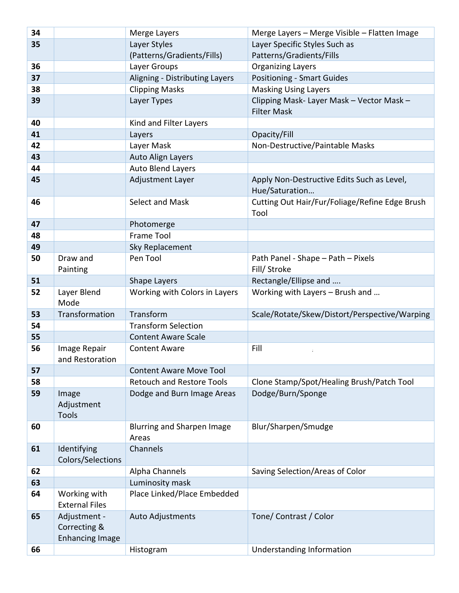| 34 |                                                        | Merge Layers                        | Merge Layers - Merge Visible - Flatten Image                    |
|----|--------------------------------------------------------|-------------------------------------|-----------------------------------------------------------------|
| 35 |                                                        | Layer Styles                        | Layer Specific Styles Such as                                   |
|    |                                                        | (Patterns/Gradients/Fills)          | Patterns/Gradients/Fills                                        |
| 36 |                                                        | Layer Groups                        | <b>Organizing Layers</b>                                        |
| 37 |                                                        | Aligning - Distributing Layers      | <b>Positioning - Smart Guides</b>                               |
| 38 |                                                        | <b>Clipping Masks</b>               | <b>Masking Using Layers</b>                                     |
| 39 |                                                        | Layer Types                         | Clipping Mask- Layer Mask - Vector Mask -<br><b>Filter Mask</b> |
| 40 |                                                        | Kind and Filter Layers              |                                                                 |
| 41 |                                                        | Layers                              | Opacity/Fill                                                    |
| 42 |                                                        | Layer Mask                          | Non-Destructive/Paintable Masks                                 |
| 43 |                                                        | <b>Auto Align Layers</b>            |                                                                 |
| 44 |                                                        | <b>Auto Blend Layers</b>            |                                                                 |
| 45 |                                                        | Adjustment Layer                    | Apply Non-Destructive Edits Such as Level,<br>Hue/Saturation    |
| 46 |                                                        | Select and Mask                     | Cutting Out Hair/Fur/Foliage/Refine Edge Brush<br>Tool          |
| 47 |                                                        | Photomerge                          |                                                                 |
| 48 |                                                        | <b>Frame Tool</b>                   |                                                                 |
| 49 |                                                        | Sky Replacement                     |                                                                 |
| 50 | Draw and<br>Painting                                   | Pen Tool                            | Path Panel - Shape - Path - Pixels<br>Fill/ Stroke              |
| 51 |                                                        | Shape Layers                        | Rectangle/Ellipse and                                           |
| 52 | Layer Blend<br>Mode                                    | Working with Colors in Layers       | Working with Layers - Brush and                                 |
| 53 | Transformation                                         | Transform                           | Scale/Rotate/Skew/Distort/Perspective/Warping                   |
| 54 |                                                        | <b>Transform Selection</b>          |                                                                 |
| 55 |                                                        | <b>Content Aware Scale</b>          |                                                                 |
| 56 | Image Repair<br>and Restoration                        | <b>Content Aware</b>                | Fill                                                            |
| 57 |                                                        | <b>Content Aware Move Tool</b>      |                                                                 |
| 58 |                                                        | <b>Retouch and Restore Tools</b>    | Clone Stamp/Spot/Healing Brush/Patch Tool                       |
| 59 | Image<br>Adjustment<br><b>Tools</b>                    | Dodge and Burn Image Areas          | Dodge/Burn/Sponge                                               |
| 60 |                                                        | Blurring and Sharpen Image<br>Areas | Blur/Sharpen/Smudge                                             |
| 61 | Identifying<br>Colors/Selections                       | Channels                            |                                                                 |
| 62 |                                                        | Alpha Channels                      | Saving Selection/Areas of Color                                 |
| 63 |                                                        | Luminosity mask                     |                                                                 |
| 64 | Working with<br><b>External Files</b>                  | Place Linked/Place Embedded         |                                                                 |
| 65 | Adjustment -<br>Correcting &<br><b>Enhancing Image</b> | Auto Adjustments                    | Tone/ Contrast / Color                                          |
| 66 |                                                        | Histogram                           | Understanding Information                                       |
|    |                                                        |                                     |                                                                 |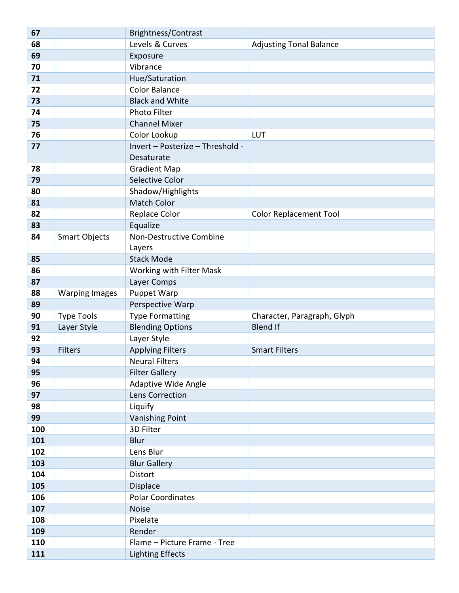| 67  |                       | Brightness/Contrast              |                                |
|-----|-----------------------|----------------------------------|--------------------------------|
| 68  |                       | Levels & Curves                  | <b>Adjusting Tonal Balance</b> |
| 69  |                       | Exposure                         |                                |
| 70  |                       | Vibrance                         |                                |
| 71  |                       | Hue/Saturation                   |                                |
| 72  |                       | <b>Color Balance</b>             |                                |
| 73  |                       | <b>Black and White</b>           |                                |
| 74  |                       | Photo Filter                     |                                |
| 75  |                       | <b>Channel Mixer</b>             |                                |
| 76  |                       | Color Lookup                     | LUT                            |
| 77  |                       | Invert - Posterize - Threshold - |                                |
|     |                       | Desaturate                       |                                |
| 78  |                       | <b>Gradient Map</b>              |                                |
| 79  |                       | Selective Color                  |                                |
| 80  |                       | Shadow/Highlights                |                                |
| 81  |                       | <b>Match Color</b>               |                                |
| 82  |                       | Replace Color                    | <b>Color Replacement Tool</b>  |
| 83  |                       | Equalize                         |                                |
| 84  | <b>Smart Objects</b>  | Non-Destructive Combine          |                                |
|     |                       | Layers                           |                                |
| 85  |                       | <b>Stack Mode</b>                |                                |
| 86  |                       | Working with Filter Mask         |                                |
| 87  |                       | Layer Comps                      |                                |
| 88  | <b>Warping Images</b> | <b>Puppet Warp</b>               |                                |
| 89  |                       | Perspective Warp                 |                                |
| 90  | <b>Type Tools</b>     | <b>Type Formatting</b>           | Character, Paragraph, Glyph    |
| 91  | Layer Style           | <b>Blending Options</b>          | <b>Blend If</b>                |
| 92  |                       | Layer Style                      |                                |
| 93  | <b>Filters</b>        | <b>Applying Filters</b>          | <b>Smart Filters</b>           |
| 94  |                       | <b>Neural Filters</b>            |                                |
| 95  |                       | <b>Filter Gallery</b>            |                                |
| 96  |                       | Adaptive Wide Angle              |                                |
| 97  |                       | Lens Correction                  |                                |
| 98  |                       | Liquify                          |                                |
| 99  |                       | <b>Vanishing Point</b>           |                                |
| 100 |                       | 3D Filter                        |                                |
| 101 |                       | Blur                             |                                |
| 102 |                       | Lens Blur                        |                                |
| 103 |                       | <b>Blur Gallery</b>              |                                |
| 104 |                       | <b>Distort</b>                   |                                |
| 105 |                       | Displace                         |                                |
| 106 |                       | <b>Polar Coordinates</b>         |                                |
| 107 |                       | <b>Noise</b>                     |                                |
| 108 |                       | Pixelate                         |                                |
| 109 |                       | Render                           |                                |
| 110 |                       | Flame - Picture Frame - Tree     |                                |
| 111 |                       | <b>Lighting Effects</b>          |                                |